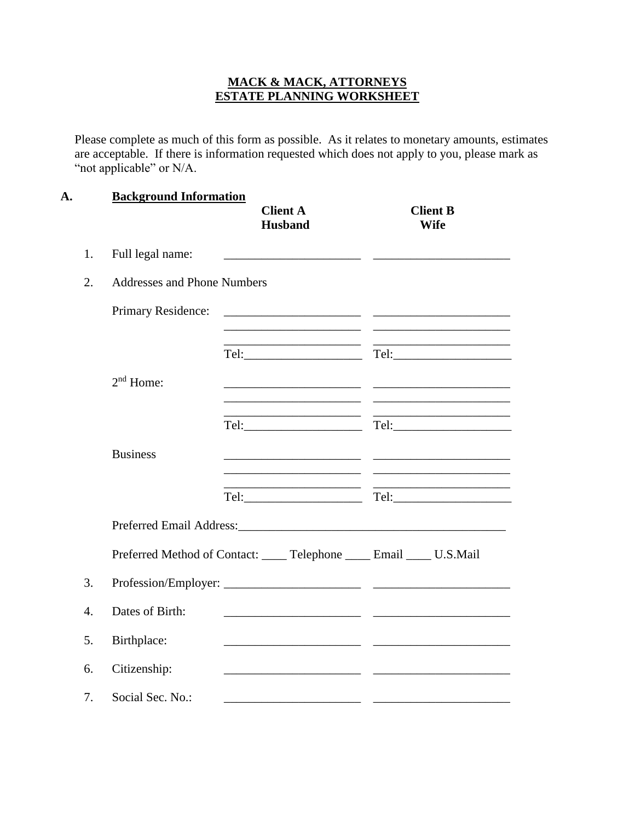## **MACK & MACK, ATTORNEYS ESTATE PLANNING WORKSHEET**

Please complete as much of this form as possible. As it relates to monetary amounts, estimates are acceptable. If there is information requested which does not apply to you, please mark as "not applicable" or N/A.

| A.               | <b>Background Information</b>      | <b>Client A</b><br><b>Husband</b>                                                                                                                                                                                              | <b>Client B</b><br><b>Wife</b>                              |
|------------------|------------------------------------|--------------------------------------------------------------------------------------------------------------------------------------------------------------------------------------------------------------------------------|-------------------------------------------------------------|
| 1.               | Full legal name:                   |                                                                                                                                                                                                                                |                                                             |
| 2.               | <b>Addresses and Phone Numbers</b> |                                                                                                                                                                                                                                |                                                             |
|                  | Primary Residence:                 | <u> 1989 - Johann Barn, mars ann an t-Amhain ann an t-Amhain an t-Amhain an t-Amhain an t-Amhain an t-Amhain an t-</u>                                                                                                         |                                                             |
|                  |                                    |                                                                                                                                                                                                                                | the control of the control of the control of the control of |
|                  | $2nd$ Home:                        |                                                                                                                                                                                                                                |                                                             |
|                  |                                    | <u> 1989 - Johann Barn, mars et al. (b. 1989)</u>                                                                                                                                                                              | <u> 1989 - Johann John Stone, mars eta biztanleria (</u>    |
|                  | <b>Business</b>                    | <u> 1989 - Johann Barbara, martin amerikan basar dan berasal dalam basar dalam basar dalam basar dalam basar dala</u>                                                                                                          | <u> 1999 - Johann Barbara, martin amerikan per</u>          |
|                  |                                    |                                                                                                                                                                                                                                |                                                             |
|                  |                                    | Preferred Email Address: March 2014 and 2015 and 2016 and 2017 and 2018 and 2018 and 2018 and 2018 and 2018 and 2018 and 2018 and 2018 and 2018 and 2018 and 2018 and 2018 and 2018 and 2018 and 2018 and 2018 and 2018 and 20 |                                                             |
|                  |                                    | Preferred Method of Contact: ____ Telephone ____ Email ____ U.S.Mail                                                                                                                                                           |                                                             |
| 3.               |                                    |                                                                                                                                                                                                                                |                                                             |
| $\overline{4}$ . | Dates of Birth:                    |                                                                                                                                                                                                                                |                                                             |
| 5.               | Birthplace:                        |                                                                                                                                                                                                                                |                                                             |
| 6.               | Citizenship:                       |                                                                                                                                                                                                                                |                                                             |
| 7.               | Social Sec. No.:                   |                                                                                                                                                                                                                                |                                                             |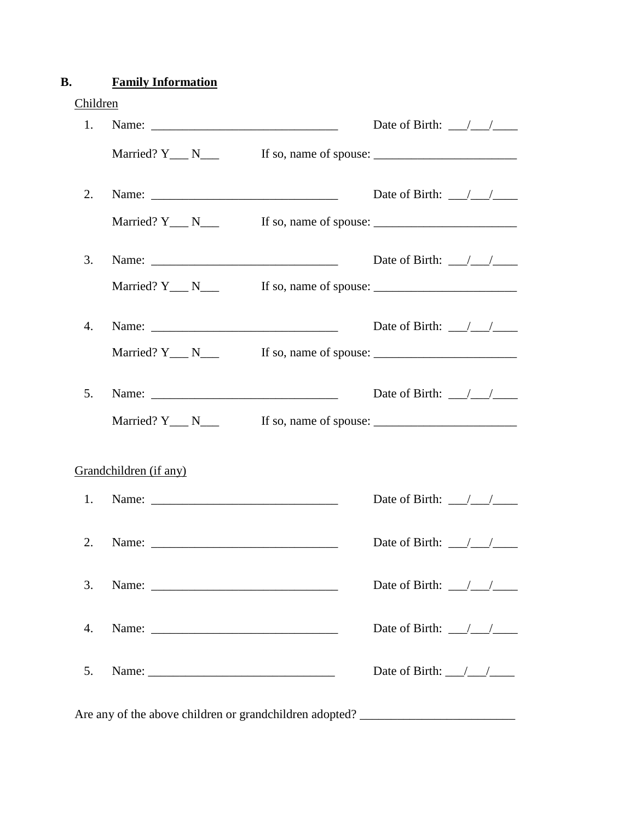# **B. Family Information**

| 1. |                                                                                   | Date of Birth: $\frac{\sqrt{1-\sqrt{1-\frac{1}{2}}}}{\sqrt{1-\sqrt{1-\frac{1}{2}}}}$ |
|----|-----------------------------------------------------------------------------------|--------------------------------------------------------------------------------------|
|    | Married? $Y_{\_\_\_N}$ N $_{\_\_N}$                                               |                                                                                      |
| 2. |                                                                                   | Date of Birth: $\frac{\sqrt{1-\frac{1}{2}}}{\sqrt{1-\frac{1}{2}}}$                   |
|    | Married? $Y_{\text{max}} N_{\text{max}}$                                          | If so, name of spouse:                                                               |
| 3. |                                                                                   | Date of Birth: $\frac{\sqrt{1-\sqrt{1-\frac{1}{2}}}}{\sqrt{1-\sqrt{1-\frac{1}{2}}}}$ |
|    | Married? $Y_{\_\_\_\_N}$ N $\_\_\_\_\_N$                                          | If so, name of spouse:                                                               |
| 4. |                                                                                   | Date of Birth: $\frac{\sqrt{1-\frac{1}{2}}}{\sqrt{1-\frac{1}{2}}}$                   |
|    | Married? $Y_N$ N                                                                  |                                                                                      |
| 5. |                                                                                   | Date of Birth: $\frac{\sqrt{1-\frac{1}{2}}}{\sqrt{1-\frac{1}{2}}}$                   |
|    | Married? $Y_{\_\_\_N}$ N $_{\_\_N}$                                               |                                                                                      |
|    | Grandchildren (if any)                                                            |                                                                                      |
| 1. |                                                                                   | Date of Birth: $\frac{\sqrt{1-\frac{1}{2}}}{\sqrt{1-\frac{1}{2}}}$                   |
| 2. |                                                                                   | Date of Birth: $\frac{\sqrt{1-\frac{1}{2}}}{\sqrt{1-\frac{1}{2}}}$                   |
| 3. |                                                                                   | Date of Birth: $\frac{\sqrt{1-\frac{1}{2}}}{\sqrt{1-\frac{1}{2}}}$                   |
| 4. |                                                                                   | Date of Birth: $\frac{\sqrt{1-\sqrt{1-\frac{1}{2}}}}{\sqrt{1-\sqrt{1-\frac{1}{2}}}}$ |
| 5. |                                                                                   | Date of Birth: $\frac{\sqrt{1-\frac{1}{2}}}{\sqrt{1-\frac{1}{2}}}$                   |
|    | Are any of the above children or grandchildren adopted? _________________________ |                                                                                      |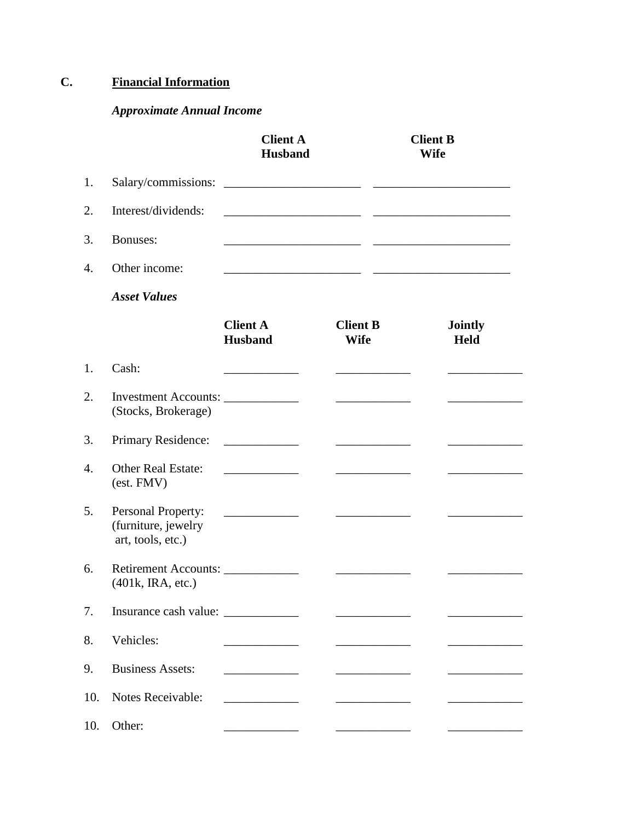# **C. Financial Information**

# *Approximate Annual Income*

|     |                                                                | <b>Client A</b><br><b>Husband</b>                                                                                    | <b>Client B</b><br><b>Wife</b>                 |  |                                                                                                                       |
|-----|----------------------------------------------------------------|----------------------------------------------------------------------------------------------------------------------|------------------------------------------------|--|-----------------------------------------------------------------------------------------------------------------------|
| 1.  | Salary/commissions:                                            | <u> 2000 - Jan James James Jan James James James James James James James James James James James James James Jam</u> |                                                |  |                                                                                                                       |
| 2.  | Interest/dividends:                                            |                                                                                                                      |                                                |  |                                                                                                                       |
| 3.  | Bonuses:                                                       |                                                                                                                      |                                                |  | <u> 1990 - Johann Harry Harry Harry Harry Harry Harry Harry Harry Harry Harry Harry Harry Harry Harry Harry Harry</u> |
| 4.  | Other income:                                                  |                                                                                                                      | the control of the control of the control of   |  |                                                                                                                       |
|     | <b>Asset Values</b>                                            |                                                                                                                      |                                                |  |                                                                                                                       |
|     |                                                                | <b>Client A</b><br><b>Husband</b>                                                                                    | <b>Client B</b><br><b>Wife</b>                 |  | <b>Jointly</b><br><b>Held</b>                                                                                         |
| 1.  | Cash:                                                          |                                                                                                                      |                                                |  |                                                                                                                       |
| 2.  | Investment Accounts:<br>(Stocks, Brokerage)                    |                                                                                                                      |                                                |  |                                                                                                                       |
| 3.  | Primary Residence:                                             |                                                                                                                      | <u>and the state of the state</u>              |  |                                                                                                                       |
| 4.  | <b>Other Real Estate:</b><br>(est. FMV)                        |                                                                                                                      |                                                |  |                                                                                                                       |
| 5.  | Personal Property:<br>(furniture, jewelry<br>art, tools, etc.) |                                                                                                                      |                                                |  |                                                                                                                       |
| 6.  | Retirement Accounts:<br>$(401k, \text{IRA}, \text{etc.})$      |                                                                                                                      |                                                |  |                                                                                                                       |
| 7.  |                                                                |                                                                                                                      | <u> Tanzania (m. 1888)</u>                     |  |                                                                                                                       |
| 8.  | Vehicles:                                                      |                                                                                                                      |                                                |  |                                                                                                                       |
| 9.  | <b>Business Assets:</b>                                        |                                                                                                                      |                                                |  |                                                                                                                       |
| 10. | Notes Receivable:                                              |                                                                                                                      | <u>and the state of the state of the state</u> |  |                                                                                                                       |
| 10. | Other:                                                         |                                                                                                                      |                                                |  |                                                                                                                       |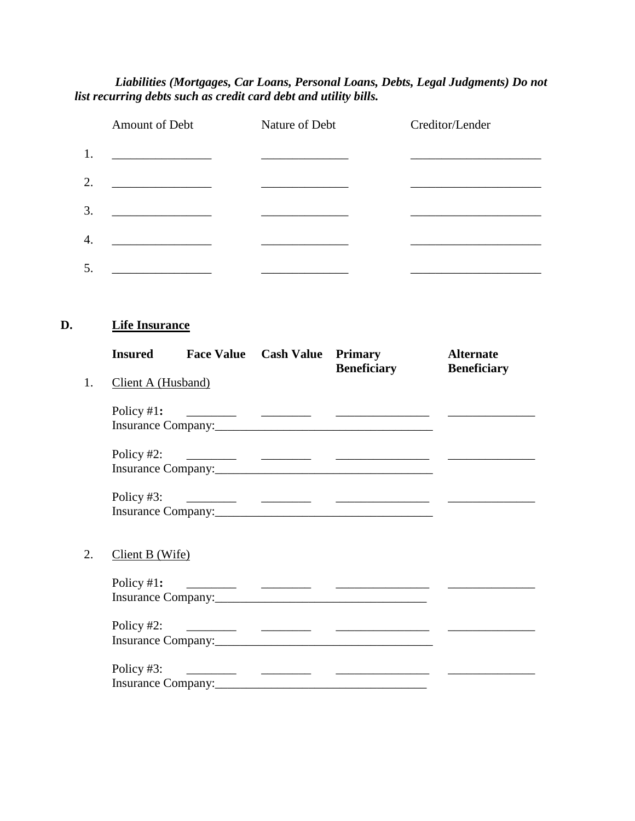#### *Liabilities (Mortgages, Car Loans, Personal Loans, Debts, Legal Judgments) Do not list recurring debts such as credit card debt and utility bills.*

|                  | Amount of Debt | Nature of Debt | Creditor/Lender |
|------------------|----------------|----------------|-----------------|
| 1.               |                |                |                 |
| 2.               |                |                |                 |
| 3.               |                |                |                 |
| $\overline{4}$ . |                |                |                 |
| 5.               |                |                |                 |

## **D. Life Insurance**

|    |                    |  | <b>Insured Face Value Cash Value Primary</b><br><b>Beneficiary</b>                                                                                                                                                                                                                                                  | <b>Alternate</b><br><b>Beneficiary</b> |
|----|--------------------|--|---------------------------------------------------------------------------------------------------------------------------------------------------------------------------------------------------------------------------------------------------------------------------------------------------------------------|----------------------------------------|
| 1. | Client A (Husband) |  |                                                                                                                                                                                                                                                                                                                     |                                        |
|    | Policy $#1$ :      |  |                                                                                                                                                                                                                                                                                                                     |                                        |
|    | Policy $#2$ :      |  | $\frac{1}{2}$ $\frac{1}{2}$ $\frac{1}{2}$ $\frac{1}{2}$ $\frac{1}{2}$ $\frac{1}{2}$ $\frac{1}{2}$ $\frac{1}{2}$ $\frac{1}{2}$ $\frac{1}{2}$ $\frac{1}{2}$ $\frac{1}{2}$ $\frac{1}{2}$ $\frac{1}{2}$ $\frac{1}{2}$ $\frac{1}{2}$ $\frac{1}{2}$ $\frac{1}{2}$ $\frac{1}{2}$ $\frac{1}{2}$ $\frac{1}{2}$ $\frac{1}{2}$ |                                        |
|    | Policy $#3$ :      |  |                                                                                                                                                                                                                                                                                                                     |                                        |
| 2. | Client B (Wife)    |  |                                                                                                                                                                                                                                                                                                                     |                                        |
|    |                    |  |                                                                                                                                                                                                                                                                                                                     |                                        |
|    |                    |  |                                                                                                                                                                                                                                                                                                                     |                                        |
|    |                    |  |                                                                                                                                                                                                                                                                                                                     |                                        |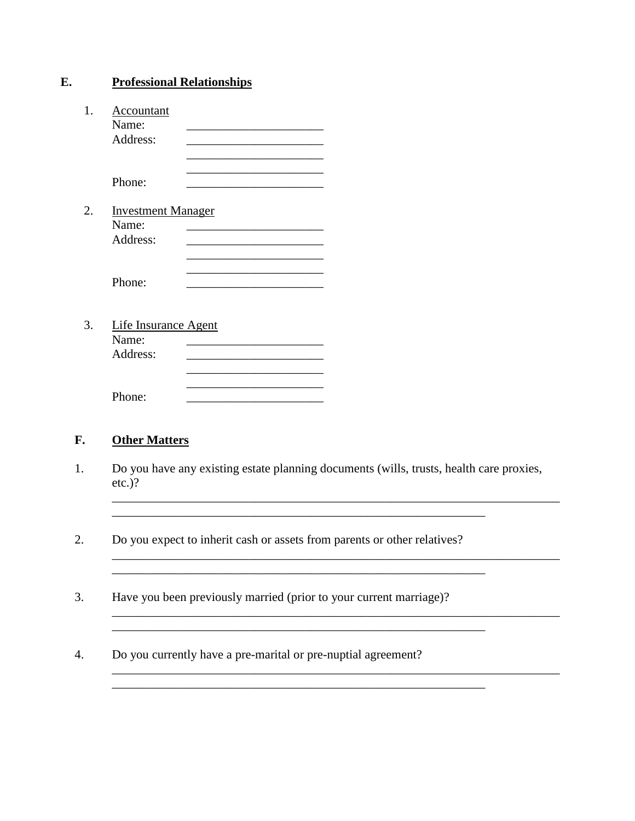| E. | <b>Professional Relationships</b>              |  |  |  |
|----|------------------------------------------------|--|--|--|
| 1. | Accountant<br>Name:<br>Address:                |  |  |  |
|    | Phone:                                         |  |  |  |
| 2. | <b>Investment Manager</b><br>Name:<br>Address: |  |  |  |
|    | Phone:                                         |  |  |  |
| 3. | Life Insurance Agent<br>Name:<br>Address:      |  |  |  |
|    | Phone:                                         |  |  |  |

#### F. **Other Matters**

- $1.$ Do you have any existing estate planning documents (wills, trusts, health care proxies,  $etc.$ )?
- 2. Do you expect to inherit cash or assets from parents or other relatives?

<u> 1980 - Jan James James Barnett, fransk politik (d. 1980)</u> <u> 2000 - Jan James Alexandri, martin da shekarar 1980 - André a Santa Alexandri.</u>

- $\overline{3}$ . Have you been previously married (prior to your current marriage)?
- Do you currently have a pre-marital or pre-nuptial agreement?  $\overline{4}$ .